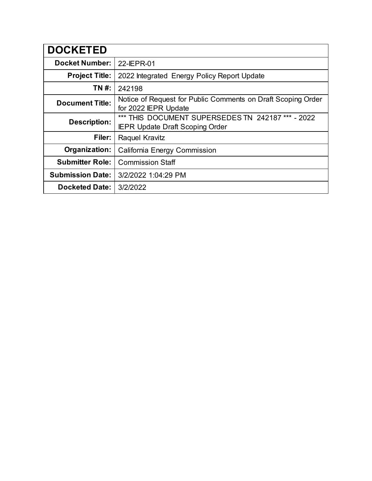| <b>DOCKETED</b>         |                                                                                             |  |  |
|-------------------------|---------------------------------------------------------------------------------------------|--|--|
| <b>Docket Number:</b>   | 22-IEPR-01                                                                                  |  |  |
| <b>Project Title:</b>   | 2022 Integrated Energy Policy Report Update                                                 |  |  |
| TN #:                   | 242198                                                                                      |  |  |
| <b>Document Title:</b>  | Notice of Request for Public Comments on Draft Scoping Order<br>for 2022 IEPR Update        |  |  |
| <b>Description:</b>     | *** THIS DOCUMENT SUPERSEDES TN 242187 *** - 2022<br><b>IEPR Update Draft Scoping Order</b> |  |  |
| Filer:                  | Raquel Kravitz                                                                              |  |  |
| Organization:           | California Energy Commission                                                                |  |  |
| <b>Submitter Role:</b>  | <b>Commission Staff</b>                                                                     |  |  |
| <b>Submission Date:</b> | 3/2/2022 1:04:29 PM                                                                         |  |  |
| <b>Docketed Date:</b>   | 3/2/2022                                                                                    |  |  |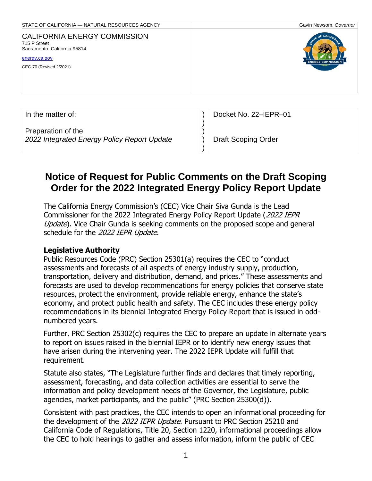| STATE OF CALIFORNIA - NATURAL RESOURCES AGENCY                                                                                  | Gavin Newsom, Governor                   |
|---------------------------------------------------------------------------------------------------------------------------------|------------------------------------------|
| <b>CALIFORNIA ENERGY COMMISSION</b><br>715 P Street<br>Sacramento, California 95814<br>energy.ca.gov<br>CEC-70 (Revised 2/2021) | TE OF CALIFO<br><b>ENERGY COMMISSION</b> |
|                                                                                                                                 |                                          |

| In the matter of:                                                 | Docket No. 22-IEPR-01 |
|-------------------------------------------------------------------|-----------------------|
| Preparation of the<br>2022 Integrated Energy Policy Report Update | Draft Scoping Order   |

# **Notice of Request for Public Comments on the Draft Scoping Order for the 2022 Integrated Energy Policy Report Update**

The California Energy Commission's (CEC) Vice Chair Siva Gunda is the Lead Commissioner for the 2022 Integrated Energy Policy Report Update (2022 IEPR Update). Vice Chair Gunda is seeking comments on the proposed scope and general schedule for the 2022 IEPR Update.

#### **Legislative Authority**

Public Resources Code (PRC) Section 25301(a) requires the CEC to "conduct assessments and forecasts of all aspects of energy industry supply, production, transportation, delivery and distribution, demand, and prices." These assessments and forecasts are used to develop recommendations for energy policies that conserve state resources, protect the environment, provide reliable energy, enhance the state's economy, and protect public health and safety. The CEC includes these energy policy recommendations in its biennial Integrated Energy Policy Report that is issued in oddnumbered years.

Further, PRC Section 25302(c) requires the CEC to prepare an update in alternate years to report on issues raised in the biennial IEPR or to identify new energy issues that have arisen during the intervening year. The 2022 IEPR Update will fulfill that requirement.

Statute also states, "The Legislature further finds and declares that timely reporting, assessment, forecasting, and data collection activities are essential to serve the information and policy development needs of the Governor, the Legislature, public agencies, market participants, and the public" (PRC Section 25300(d)).

Consistent with past practices, the CEC intends to open an informational proceeding for the development of the 2022 IEPR Update. Pursuant to PRC Section 25210 and California Code of Regulations, Title 20, Section 1220, informational proceedings allow the CEC to hold hearings to gather and assess information, inform the public of CEC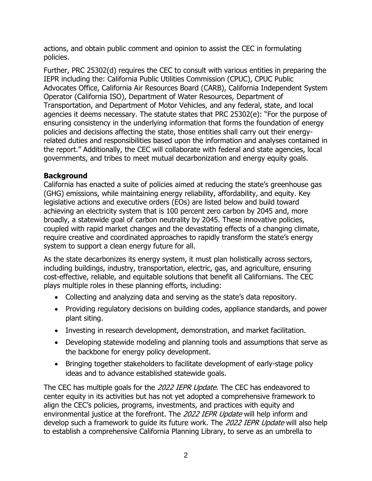actions, and obtain public comment and opinion to assist the CEC in formulating policies.

Further, PRC 25302(d) requires the CEC to consult with various entities in preparing the IEPR including the: California Public Utilities Commission (CPUC), CPUC Public Advocates Office, California Air Resources Board (CARB), California Independent System Operator (California ISO), Department of Water Resources, Department of Transportation, and Department of Motor Vehicles, and any federal, state, and local agencies it deems necessary. The statute states that PRC 25302(e): "For the purpose of ensuring consistency in the underlying information that forms the foundation of energy policies and decisions affecting the state, those entities shall carry out their energyrelated duties and responsibilities based upon the information and analyses contained in the report." Additionally, the CEC will collaborate with federal and state agencies, local governments, and tribes to meet mutual decarbonization and energy equity goals.

## **Background**

California has enacted a suite of policies aimed at reducing the state's greenhouse gas (GHG) emissions, while maintaining energy reliability, affordability, and equity. Key legislative actions and executive orders (EOs) are listed below and build toward achieving an electricity system that is 100 percent zero carbon by 2045 and, more broadly, a statewide goal of carbon neutrality by 2045. These innovative policies, coupled with rapid market changes and the devastating effects of a changing climate, require creative and coordinated approaches to rapidly transform the state's energy system to support a clean energy future for all.

As the state decarbonizes its energy system, it must plan holistically across sectors, including buildings, industry, transportation, electric, gas, and agriculture, ensuring cost-effective, reliable, and equitable solutions that benefit all Californians. The CEC plays multiple roles in these planning efforts, including:

- Collecting and analyzing data and serving as the state's data repository.
- Providing regulatory decisions on building codes, appliance standards, and power plant siting.
- Investing in research development, demonstration, and market facilitation.
- Developing statewide modeling and planning tools and assumptions that serve as the backbone for energy policy development.
- Bringing together stakeholders to facilitate development of early-stage policy ideas and to advance established statewide goals.

The CEC has multiple goals for the 2022 IEPR Update. The CEC has endeavored to center equity in its activities but has not yet adopted a comprehensive framework to align the CEC's policies, programs, investments, and practices with equity and environmental justice at the forefront. The 2022 IEPR Update will help inform and develop such a framework to quide its future work. The 2022 IEPR Update will also help to establish a comprehensive California Planning Library, to serve as an umbrella to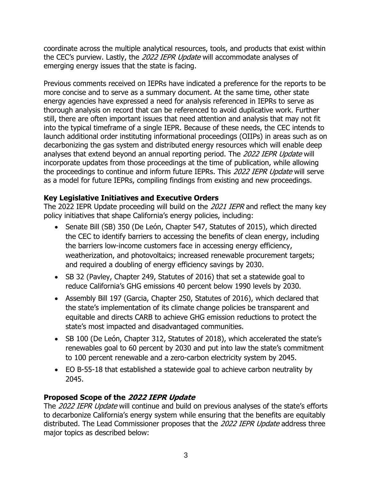coordinate across the multiple analytical resources, tools, and products that exist within the CEC's purview. Lastly, the 2022 IEPR Update will accommodate analyses of emerging energy issues that the state is facing.

Previous comments received on IEPRs have indicated a preference for the reports to be more concise and to serve as a summary document. At the same time, other state energy agencies have expressed a need for analysis referenced in IEPRs to serve as thorough analysis on record that can be referenced to avoid duplicative work. Further still, there are often important issues that need attention and analysis that may not fit into the typical timeframe of a single IEPR. Because of these needs, the CEC intends to launch additional order instituting informational proceedings (OIIPs) in areas such as on decarbonizing the gas system and distributed energy resources which will enable deep analyses that extend beyond an annual reporting period. The 2022 IEPR Update will incorporate updates from those proceedings at the time of publication, while allowing the proceedings to continue and inform future IEPRs. This 2022 IEPR Update will serve as a model for future IEPRs, compiling findings from existing and new proceedings.

## **Key Legislative Initiatives and Executive Orders**

The 2022 IEPR Update proceeding will build on the 2021 IEPR and reflect the many key policy initiatives that shape California's energy policies, including:

- Senate Bill (SB) 350 (De León, Chapter 547, Statutes of 2015), which directed the CEC to identify barriers to accessing the benefits of clean energy, including the barriers low-income customers face in accessing energy efficiency, weatherization, and photovoltaics; increased renewable procurement targets; and required a doubling of energy efficiency savings by 2030.
- SB 32 (Pavley, Chapter 249, Statutes of 2016) that set a statewide goal to reduce California's GHG emissions 40 percent below 1990 levels by 2030.
- Assembly Bill 197 (Garcia, Chapter 250, Statutes of 2016), which declared that the state's implementation of its climate change policies be transparent and equitable and directs CARB to achieve GHG emission reductions to protect the state's most impacted and disadvantaged communities.
- SB 100 (De León, Chapter 312, Statutes of 2018), which accelerated the state's renewables goal to 60 percent by 2030 and put into law the state's commitment to 100 percent renewable and a zero-carbon electricity system by 2045.
- EO B-55-18 that established a statewide goal to achieve carbon neutrality by 2045.

## **Proposed Scope of the 2022 IEPR Update**

The 2022 IEPR Update will continue and build on previous analyses of the state's efforts to decarbonize California's energy system while ensuring that the benefits are equitably distributed. The Lead Commissioner proposes that the 2022 IEPR Update address three major topics as described below: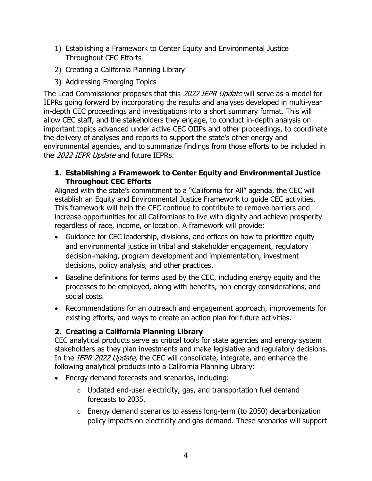- 1) Establishing a Framework to Center Equity and Environmental Justice Throughout CEC Efforts
- 2) Creating a California Planning Library
- 3) Addressing Emerging Topics

The Lead Commissioner proposes that this 2022 IEPR Update will serve as a model for IEPRs going forward by incorporating the results and analyses developed in multi-year in-depth CEC proceedings and investigations into a short summary format. This will allow CEC staff, and the stakeholders they engage, to conduct in-depth analysis on important topics advanced under active CEC OIIPs and other proceedings, to coordinate the delivery of analyses and reports to support the state's other energy and environmental agencies, and to summarize findings from those efforts to be included in the 2022 IEPR Update and future IEPRs.

**1. Establishing a Framework to Center Equity and Environmental Justice Throughout CEC Efforts**

Aligned with the state's commitment to a "California for All" agenda, the CEC will establish an Equity and Environmental Justice Framework to guide CEC activities. This framework will help the CEC continue to contribute to remove barriers and increase opportunities for all Californians to live with dignity and achieve prosperity regardless of race, income, or location. A framework will provide:

- Guidance for CEC leadership, divisions, and offices on how to prioritize equity and environmental justice in tribal and stakeholder engagement, regulatory decision-making, program development and implementation, investment decisions, policy analysis, and other practices.
- Baseline definitions for terms used by the CEC, including energy equity and the processes to be employed, along with benefits, non-energy considerations, and social costs.
- Recommendations for an outreach and engagement approach, improvements for existing efforts, and ways to create an action plan for future activities.

## **2. Creating a California Planning Library**

CEC analytical products serve as critical tools for state agencies and energy system stakeholders as they plan investments and make legislative and regulatory decisions. In the IEPR 2022 Update, the CEC will consolidate, integrate, and enhance the following analytical products into a California Planning Library:

- Energy demand forecasts and scenarios, including:
	- $\circ$  Updated end-user electricity, gas, and transportation fuel demand forecasts to 2035.
	- o Energy demand scenarios to assess long-term (to 2050) decarbonization policy impacts on electricity and gas demand. These scenarios will support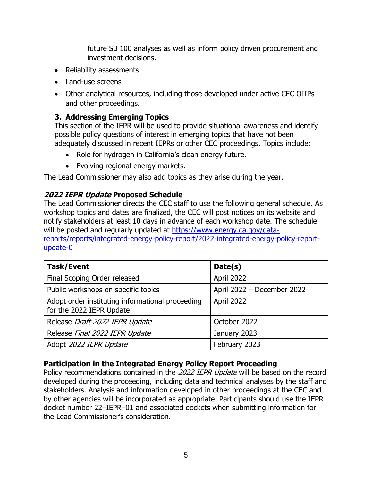future SB 100 analyses as well as inform policy driven procurement and investment decisions.

- Reliability assessments
- Land-use screens
- Other analytical resources, including those developed under active CEC OIIPs and other proceedings.

## **3. Addressing Emerging Topics**

This section of the IEPR will be used to provide situational awareness and identify possible policy questions of interest in emerging topics that have not been adequately discussed in recent IEPRs or other CEC proceedings. Topics include:

- Role for hydrogen in California's clean energy future.
- Evolving regional energy markets.

The Lead Commissioner may also add topics as they arise during the year.

## **2022 IEPR Update Proposed Schedule**

The Lead Commissioner directs the CEC staff to use the following general schedule. As workshop topics and dates are finalized, the CEC will post notices on its website and notify stakeholders at least 10 days in advance of each workshop date. The schedule will be posted and regularly updated at [https://www.energy.ca.gov/data](https://www.energy.ca.gov/data-reports/reports/integrated-energy-policy-report/2022-integrated-energy-policy-report-update-0)[reports/reports/integrated-energy-policy-report/2022-integrated-energy-policy-report](https://www.energy.ca.gov/data-reports/reports/integrated-energy-policy-report/2022-integrated-energy-policy-report-update-0)[update-0](https://www.energy.ca.gov/data-reports/reports/integrated-energy-policy-report/2022-integrated-energy-policy-report-update-0)

| <b>Task/Event</b>                                                            | Date(s)                    |
|------------------------------------------------------------------------------|----------------------------|
| Final Scoping Order released                                                 | April 2022                 |
| Public workshops on specific topics                                          | April 2022 - December 2022 |
| Adopt order instituting informational proceeding<br>for the 2022 IEPR Update | April 2022                 |
| Release Draft 2022 IEPR Update                                               | October 2022               |
| Release Final 2022 IEPR Update                                               | January 2023               |
| Adopt 2022 IEPR Update                                                       | February 2023              |

## **Participation in the Integrated Energy Policy Report Proceeding**

Policy recommendations contained in the 2022 IEPR Update will be based on the record developed during the proceeding, including data and technical analyses by the staff and stakeholders. Analysis and information developed in other proceedings at the CEC and by other agencies will be incorporated as appropriate. Participants should use the IEPR docket number 22–IEPR–01 and associated dockets when submitting information for the Lead Commissioner's consideration.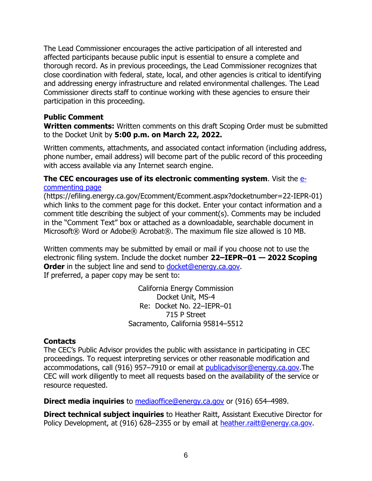The Lead Commissioner encourages the active participation of all interested and affected participants because public input is essential to ensure a complete and thorough record. As in previous proceedings, the Lead Commissioner recognizes that close coordination with federal, state, local, and other agencies is critical to identifying and addressing energy infrastructure and related environmental challenges. The Lead Commissioner directs staff to continue working with these agencies to ensure their participation in this proceeding.

#### **Public Comment**

**Written comments:** Written comments on this draft Scoping Order must be submitted to the Docket Unit by **5:00 p.m. on March 22, 2022.**

Written comments, attachments, and associated contact information (including address, phone number, email address) will become part of the public record of this proceeding with access available via any Internet search engine.

#### **The CEC encourages use of its electronic commenting system**. Visit the [e](https://efiling.energy.ca.gov/Ecomment/Ecomment.aspx?docketnumber=22-IEPR-01)[commenting page](https://efiling.energy.ca.gov/Ecomment/Ecomment.aspx?docketnumber=22-IEPR-01)

(https://efiling.energy.ca.gov/Ecomment/Ecomment.aspx?docketnumber=22-IEPR-01) which links to the comment page for this docket. Enter your contact information and a comment title describing the subject of your comment(s). Comments may be included in the "Comment Text" box or attached as a downloadable, searchable document in Microsoft® Word or Adobe® Acrobat®. The maximum file size allowed is 10 MB.

Written comments may be submitted by email or mail if you choose not to use the electronic filing system. Include the docket number **22–IEPR–01 — 2022 Scoping Order** in the subject line and send to [docket@energy.ca.gov.](mailto:docket@energy.ca.gov) If preferred, a paper copy may be sent to:

> California Energy Commission Docket Unit, MS-4 Re: Docket No. 22–IEPR–01 715 P Street Sacramento, California 95814–5512

#### **Contacts**

The CEC's Public Advisor provides the public with assistance in participating in CEC proceedings. To request interpreting services or other reasonable modification and accommodations, call (916) 957–7910 or email at [publicadvisor@energy.ca.gov.](mailto:publicadvisor@energy.ca.gov)The CEC will work diligently to meet all requests based on the availability of the service or resource requested.

**Direct media inquiries** to **mediaoffice@energy.ca.gov** or (916) 654–4989.

**Direct technical subject inquiries** to Heather Raitt, Assistant Executive Director for Policy Development, at (916) 628–2355 or by email at [heather.raitt@energy.ca.gov.](mailto:heather.raitt@energy.ca.gov)